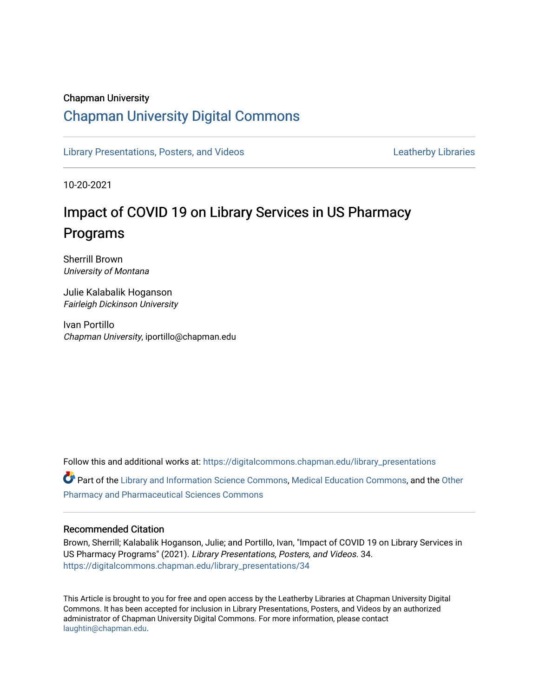## Chapman University

## [Chapman University Digital Commons](https://digitalcommons.chapman.edu/)

[Library Presentations, Posters, and Videos](https://digitalcommons.chapman.edu/library_presentations) [Leatherby Libraries](https://digitalcommons.chapman.edu/leatherbylibraries) Leatherby Libraries

10-20-2021

## Impact of COVID 19 on Library Services in US Pharmacy Programs

Sherrill Brown University of Montana

Julie Kalabalik Hoganson Fairleigh Dickinson University

Ivan Portillo Chapman University, iportillo@chapman.edu

Follow this and additional works at: [https://digitalcommons.chapman.edu/library\\_presentations](https://digitalcommons.chapman.edu/library_presentations?utm_source=digitalcommons.chapman.edu%2Flibrary_presentations%2F34&utm_medium=PDF&utm_campaign=PDFCoverPages)

**C** Part of the [Library and Information Science Commons,](http://network.bepress.com/hgg/discipline/1018?utm_source=digitalcommons.chapman.edu%2Flibrary_presentations%2F34&utm_medium=PDF&utm_campaign=PDFCoverPages) [Medical Education Commons,](http://network.bepress.com/hgg/discipline/1125?utm_source=digitalcommons.chapman.edu%2Flibrary_presentations%2F34&utm_medium=PDF&utm_campaign=PDFCoverPages) and the [Other](http://network.bepress.com/hgg/discipline/737?utm_source=digitalcommons.chapman.edu%2Flibrary_presentations%2F34&utm_medium=PDF&utm_campaign=PDFCoverPages) [Pharmacy and Pharmaceutical Sciences Commons](http://network.bepress.com/hgg/discipline/737?utm_source=digitalcommons.chapman.edu%2Flibrary_presentations%2F34&utm_medium=PDF&utm_campaign=PDFCoverPages)

### Recommended Citation

Brown, Sherrill; Kalabalik Hoganson, Julie; and Portillo, Ivan, "Impact of COVID 19 on Library Services in US Pharmacy Programs" (2021). Library Presentations, Posters, and Videos. 34. [https://digitalcommons.chapman.edu/library\\_presentations/34](https://digitalcommons.chapman.edu/library_presentations/34?utm_source=digitalcommons.chapman.edu%2Flibrary_presentations%2F34&utm_medium=PDF&utm_campaign=PDFCoverPages) 

This Article is brought to you for free and open access by the Leatherby Libraries at Chapman University Digital Commons. It has been accepted for inclusion in Library Presentations, Posters, and Videos by an authorized administrator of Chapman University Digital Commons. For more information, please contact [laughtin@chapman.edu.](mailto:laughtin@chapman.edu)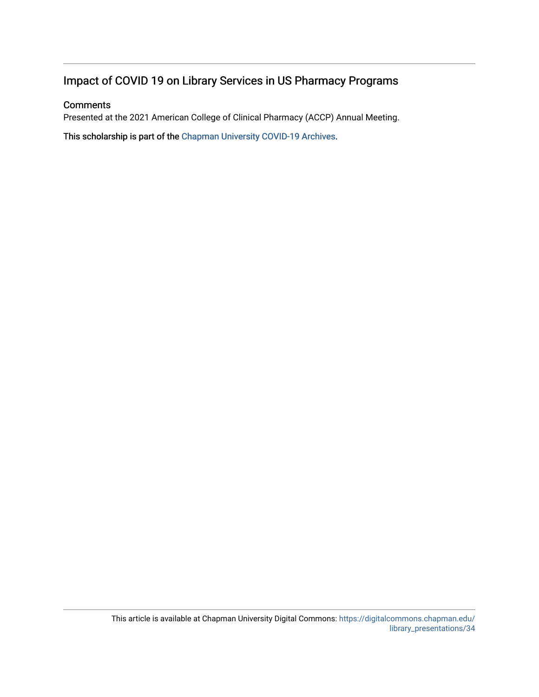## Impact of COVID 19 on Library Services in US Pharmacy Programs

## **Comments**

Presented at the 2021 American College of Clinical Pharmacy (ACCP) Annual Meeting.

This scholarship is part of the [Chapman University COVID-19 Archives](https://digitalcommons.chapman.edu/covid-19_archives/).